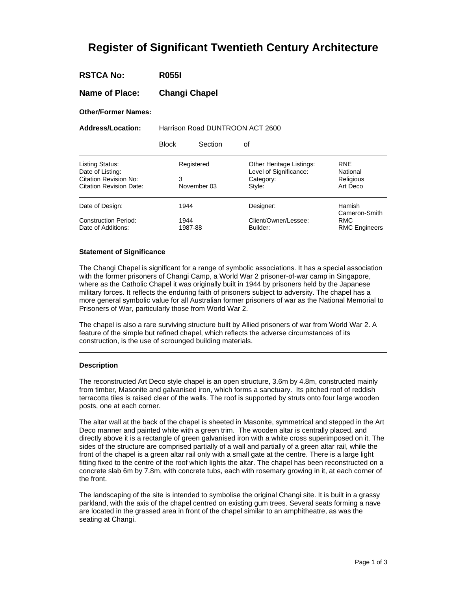# **Register of Significant Twentieth Century Architecture**

| <b>RSTCA No:</b> |  | <b>R055I</b> |
|------------------|--|--------------|
|------------------|--|--------------|

**Name of Place: Changi Chapel** 

**Other/Former Names:** 

**Address/Location:** Harrison Road DUNTROON ACT 2600

Block Section of

| <b>Listing Status:</b><br>Date of Listing: | Registered  | Other Heritage Listings:<br>Level of Significance: | <b>RNF</b><br>National  |
|--------------------------------------------|-------------|----------------------------------------------------|-------------------------|
| <b>Citation Revision No:</b>               | 3           | Category:                                          | Religious               |
|                                            |             |                                                    |                         |
| <b>Citation Revision Date:</b>             | November 03 | Style:                                             | Art Deco                |
|                                            |             |                                                    |                         |
| Date of Design:                            | 1944        | Designer:                                          | Hamish<br>Cameron-Smith |
| <b>Construction Period:</b>                | 1944        | Client/Owner/Lessee:                               | <b>RMC</b>              |
|                                            |             |                                                    |                         |
| Date of Additions:                         | 1987-88     | Builder:                                           | <b>RMC Engineers</b>    |
|                                            |             |                                                    |                         |

## **Statement of Significance**

The Changi Chapel is significant for a range of symbolic associations. It has a special association with the former prisoners of Changi Camp, a World War 2 prisoner-of-war camp in Singapore, where as the Catholic Chapel it was originally built in 1944 by prisoners held by the Japanese military forces. It reflects the enduring faith of prisoners subject to adversity. The chapel has a more general symbolic value for all Australian former prisoners of war as the National Memorial to Prisoners of War, particularly those from World War 2.

The chapel is also a rare surviving structure built by Allied prisoners of war from World War 2. A feature of the simple but refined chapel, which reflects the adverse circumstances of its construction, is the use of scrounged building materials.

## **Description**

The reconstructed Art Deco style chapel is an open structure, 3.6m by 4.8m, constructed mainly from timber, Masonite and galvanised iron, which forms a sanctuary. Its pitched roof of reddish terracotta tiles is raised clear of the walls. The roof is supported by struts onto four large wooden posts, one at each corner.

The altar wall at the back of the chapel is sheeted in Masonite, symmetrical and stepped in the Art Deco manner and painted white with a green trim. The wooden altar is centrally placed, and directly above it is a rectangle of green galvanised iron with a white cross superimposed on it. The sides of the structure are comprised partially of a wall and partially of a green altar rail, while the front of the chapel is a green altar rail only with a small gate at the centre. There is a large light fitting fixed to the centre of the roof which lights the altar. The chapel has been reconstructed on a concrete slab 6m by 7.8m, with concrete tubs, each with rosemary growing in it, at each corner of the front.

The landscaping of the site is intended to symbolise the original Changi site. It is built in a grassy parkland, with the axis of the chapel centred on existing gum trees. Several seats forming a nave are located in the grassed area in front of the chapel similar to an amphitheatre, as was the seating at Changi.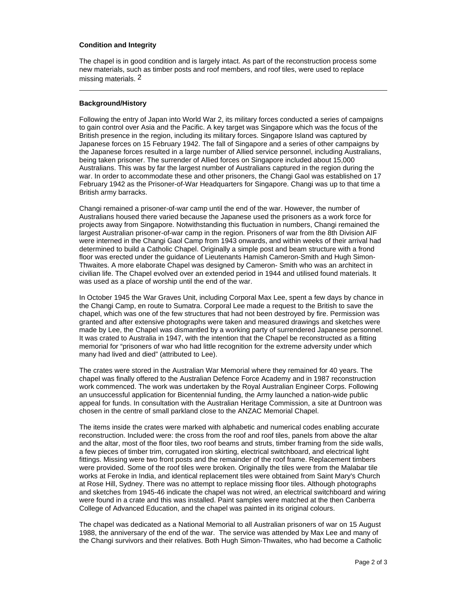## **Condition and Integrity**

The chapel is in good condition and is largely intact. As part of the reconstruction process some new materials, such as timber posts and roof members, and roof tiles, were used to replace missing materials. 2

## **Background/History**

Following the entry of Japan into World War 2, its military forces conducted a series of campaigns to gain control over Asia and the Pacific. A key target was Singapore which was the focus of the British presence in the region, including its military forces. Singapore Island was captured by Japanese forces on 15 February 1942. The fall of Singapore and a series of other campaigns by the Japanese forces resulted in a large number of Allied service personnel, including Australians, being taken prisoner. The surrender of Allied forces on Singapore included about 15,000 Australians. This was by far the largest number of Australians captured in the region during the war. In order to accommodate these and other prisoners, the Changi Gaol was established on 17 February 1942 as the Prisoner-of-War Headquarters for Singapore. Changi was up to that time a British army barracks.

Changi remained a prisoner-of-war camp until the end of the war. However, the number of Australians housed there varied because the Japanese used the prisoners as a work force for projects away from Singapore. Notwithstanding this fluctuation in numbers, Changi remained the largest Australian prisoner-of-war camp in the region. Prisoners of war from the 8th Division AIF were interned in the Changi Gaol Camp from 1943 onwards, and within weeks of their arrival had determined to build a Catholic Chapel. Originally a simple post and beam structure with a frond floor was erected under the guidance of Lieutenants Hamish Cameron-Smith and Hugh Simon-Thwaites. A more elaborate Chapel was designed by Cameron- Smith who was an architect in civilian life. The Chapel evolved over an extended period in 1944 and utilised found materials. It was used as a place of worship until the end of the war.

In October 1945 the War Graves Unit, including Corporal Max Lee, spent a few days by chance in the Changi Camp, en route to Sumatra. Corporal Lee made a request to the British to save the chapel, which was one of the few structures that had not been destroyed by fire. Permission was granted and after extensive photographs were taken and measured drawings and sketches were made by Lee, the Chapel was dismantled by a working party of surrendered Japanese personnel. It was crated to Australia in 1947, with the intention that the Chapel be reconstructed as a fitting memorial for "prisoners of war who had little recognition for the extreme adversity under which many had lived and died" (attributed to Lee).

The crates were stored in the Australian War Memorial where they remained for 40 years. The chapel was finally offered to the Australian Defence Force Academy and in 1987 reconstruction work commenced. The work was undertaken by the Royal Australian Engineer Corps. Following an unsuccessful application for Bicentennial funding, the Army launched a nation-wide public appeal for funds. In consultation with the Australian Heritage Commission, a site at Duntroon was chosen in the centre of small parkland close to the ANZAC Memorial Chapel.

The items inside the crates were marked with alphabetic and numerical codes enabling accurate reconstruction. Included were: the cross from the roof and roof tiles, panels from above the altar and the altar, most of the floor tiles, two roof beams and struts, timber framing from the side walls, a few pieces of timber trim, corrugated iron skirting, electrical switchboard, and electrical light fittings. Missing were two front posts and the remainder of the roof frame. Replacement timbers were provided. Some of the roof tiles were broken. Originally the tiles were from the Malabar tile works at Feroke in India, and identical replacement tiles were obtained from Saint Mary's Church at Rose Hill, Sydney. There was no attempt to replace missing floor tiles. Although photographs and sketches from 1945-46 indicate the chapel was not wired, an electrical switchboard and wiring were found in a crate and this was installed. Paint samples were matched at the then Canberra College of Advanced Education, and the chapel was painted in its original colours.

The chapel was dedicated as a National Memorial to all Australian prisoners of war on 15 August 1988, the anniversary of the end of the war. The service was attended by Max Lee and many of the Changi survivors and their relatives. Both Hugh Simon-Thwaites, who had become a Catholic